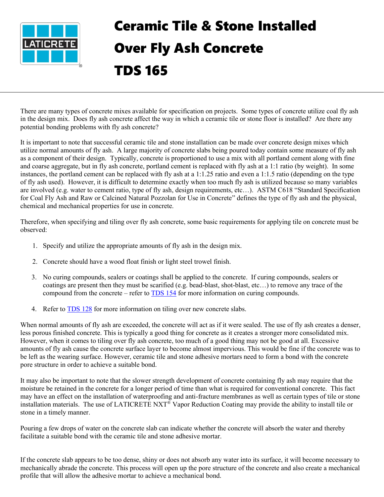

## Ceramic Tile & Stone Installed Over Fly Ash Concrete TDS 165

There are many types of concrete mixes available for specification on projects. Some types of concrete utilize coal fly ash in the design mix. Does fly ash concrete affect the way in which a ceramic tile or stone floor is installed? Are there any potential bonding problems with fly ash concrete?

It is important to note that successful ceramic tile and stone installation can be made over concrete design mixes which utilize normal amounts of fly ash. A large majority of concrete slabs being poured today contain some measure of fly ash as a component of their design. Typically, concrete is proportioned to use a mix with all portland cement along with fine and coarse aggregate, but in fly ash concrete, portland cement is replaced with fly ash at a 1:1 ratio (by weight). In some instances, the portland cement can be replaced with fly ash at a 1:1.25 ratio and even a 1:1.5 ratio (depending on the type of fly ash used). However, it is difficult to determine exactly when too much fly ash is utilized because so many variables are involved (e.g. water to cement ratio, type of fly ash, design requirements, etc…). ASTM C618 "Standard Specification for Coal Fly Ash and Raw or Calcined Natural Pozzolan for Use in Concrete" defines the type of fly ash and the physical, chemical and mechanical properties for use in concrete.

Therefore, when specifying and tiling over fly ash concrete, some basic requirements for applying tile on concrete must be observed:

- 1. Specify and utilize the appropriate amounts of fly ash in the design mix.
- 2. Concrete should have a wood float finish or light steel trowel finish.
- 3. No curing compounds, sealers or coatings shall be applied to the concrete. If curing compounds, sealers or coatings are present then they must be scarified (e.g. bead-blast, shot-blast, etc…) to remove any trace of the compound from the concrete – refer to [TDS](https://cdn.laticrete.com/~/media/support-and-downloads/technical-datasheets/tds154.ashx) 154 for more information on curing compounds.
- 4. Refer to **TDS 128** for more information on tiling over new concrete slabs.

When normal amounts of fly ash are exceeded, the concrete will act as if it were sealed. The use of fly ash creates a denser, less porous finished concrete. This is typically a good thing for concrete as it creates a stronger more consolidated mix. However, when it comes to tiling over fly ash concrete, too much of a good thing may not be good at all. Excessive amounts of fly ash cause the concrete surface layer to become almost impervious. This would be fine if the concrete was to be left as the wearing surface. However, ceramic tile and stone adhesive mortars need to form a bond with the concrete pore structure in order to achieve a suitable bond.

It may also be important to note that the slower strength development of concrete containing fly ash may require that the moisture be retained in the concrete for a longer period of time than what is required for conventional concrete. This fact may have an effect on the installation of waterproofing and anti-fracture membranes as well as certain types of tile or stone installation materials. The use of LATICRETE NXT® Vapor Reduction Coating may provide the ability to install tile or stone in a timely manner.

Pouring a few drops of water on the concrete slab can indicate whether the concrete will absorb the water and thereby facilitate a suitable bond with the ceramic tile and stone adhesive mortar.

If the concrete slab appears to be too dense, shiny or does not absorb any water into its surface, it will become necessary to mechanically abrade the concrete. This process will open up the pore structure of the concrete and also create a mechanical profile that will allow the adhesive mortar to achieve a mechanical bond.